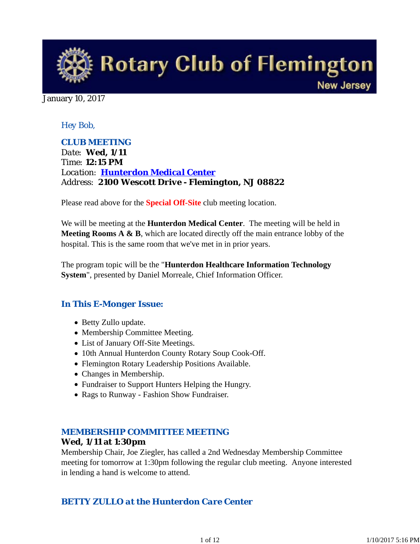

January 10, 2017

#### *Hey Bob,*

*CLUB MEETING Date: Wed, 1/11 Time: 12:15 PM Location: Hunterdon Medical Center Address: 2100 Wescott Drive - Flemington, NJ 08822*

Please read above for the **Special Off-Site** club meeting location.

We will be meeting at the **Hunterdon Medical Center**. The meeting will be held in **Meeting Rooms A & B**, which are located directly off the main entrance lobby of the hospital. This is the same room that we've met in in prior years.

The program topic will be the "**Hunterdon Healthcare Information Technology System**", presented by Daniel Morreale, Chief Information Officer.

#### *In This E-Monger Issue:*

- Betty Zullo update.
- Membership Committee Meeting.
- List of January Off-Site Meetings.
- 10th Annual Hunterdon County Rotary Soup Cook-Off.
- Flemington Rotary Leadership Positions Available.
- Changes in Membership.
- Fundraiser to Support Hunters Helping the Hungry.
- Rags to Runway Fashion Show Fundraiser.

#### *MEMBERSHIP COMMITTEE MEETING*

#### **Wed, 1/11 at 1:30pm**

Membership Chair, Joe Ziegler, has called a 2nd Wednesday Membership Committee meeting for tomorrow at 1:30pm following the regular club meeting. Anyone interested in lending a hand is welcome to attend.

## *BETTY ZULLO at the Hunterdon Care Center*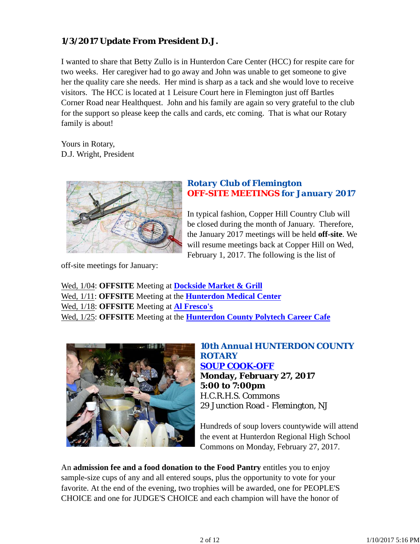## **1/3/2017 Update From President D.J.**

I wanted to share that Betty Zullo is in Hunterdon Care Center (HCC) for respite care for two weeks. Her caregiver had to go away and John was unable to get someone to give her the quality care she needs. Her mind is sharp as a tack and she would love to receive visitors. The HCC is located at 1 Leisure Court here in Flemington just off Bartles Corner Road near Healthquest. John and his family are again so very grateful to the club for the support so please keep the calls and cards, etc coming. That is what our Rotary family is about!

Yours in Rotary, D.J. Wright, President



#### *Rotary Club of Flemington OFF-SITE MEETINGS for January 2017*

In typical fashion, Copper Hill Country Club will be closed during the month of January. Therefore, the January 2017 meetings will be held **off-site**. We will resume meetings back at Copper Hill on Wed, February 1, 2017. The following is the list of

off-site meetings for January:

Wed, 1/04: **OFFSITE** Meeting at **Dockside Market & Grill** Wed, 1/11: **OFFSITE** Meeting at the **Hunterdon Medical Center** Wed, 1/18: **OFFSITE** Meeting at **Al Fresco's** Wed, 1/25: **OFFSITE** Meeting at the **Hunterdon County Polytech Career Cafe**



*10th Annual HUNTERDON COUNTY ROTARY SOUP COOK-OFF* **Monday, February 27, 2017 5:00 to 7:00pm** H.C.R.H.S. Commons 29 Junction Road - Flemington, NJ

Hundreds of soup lovers countywide will attend the event at Hunterdon Regional High School Commons on Monday, February 27, 2017.

An **admission fee and a food donation to the Food Pantry** entitles you to enjoy sample-size cups of any and all entered soups, plus the opportunity to vote for your favorite. At the end of the evening, two trophies will be awarded, one for PEOPLE'S CHOICE and one for JUDGE'S CHOICE and each champion will have the honor of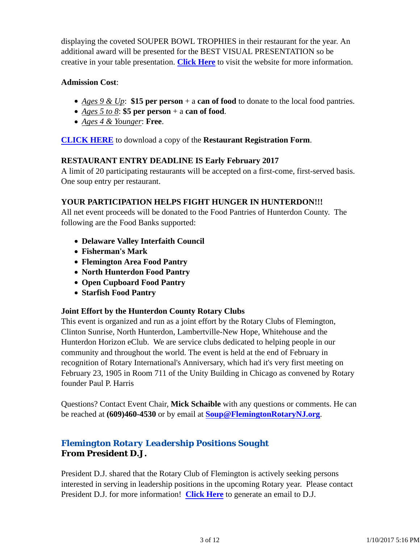displaying the coveted SOUPER BOWL TROPHIES in their restaurant for the year. An additional award will be presented for the BEST VISUAL PRESENTATION so be creative in your table presentation. **Click Here** to visit the website for more information.

#### **Admission Cost**:

- *Ages 9 & Up*: **\$15 per person** + a **can of food** to donate to the local food pantries.
- *Ages 5 to 8*: **\$5 per person** + a **can of food**.
- *Ages 4 & Younger*: **Free**.

**CLICK HERE** to download a copy of the **Restaurant Registration Form**.

#### **RESTAURANT ENTRY DEADLINE IS Early February 2017**

A limit of 20 participating restaurants will be accepted on a first-come, first-served basis. One soup entry per restaurant.

#### **YOUR PARTICIPATION HELPS FIGHT HUNGER IN HUNTERDON!!!**

All net event proceeds will be donated to the Food Pantries of Hunterdon County. The following are the Food Banks supported:

- **Delaware Valley Interfaith Council**
- **Fisherman's Mark**
- **Flemington Area Food Pantry**
- **North Hunterdon Food Pantry**
- **Open Cupboard Food Pantry**
- **Starfish Food Pantry**

#### **Joint Effort by the Hunterdon County Rotary Clubs**

This event is organized and run as a joint effort by the Rotary Clubs of Flemington, Clinton Sunrise, North Hunterdon, Lambertville-New Hope, Whitehouse and the Hunterdon Horizon eClub. We are service clubs dedicated to helping people in our community and throughout the world. The event is held at the end of February in recognition of Rotary International's Anniversary, which had it's very first meeting on February 23, 1905 in Room 711 of the Unity Building in Chicago as convened by Rotary founder Paul P. Harris

Questions? Contact Event Chair, **Mick Schaible** with any questions or comments. He can be reached at **(609)460-4530** or by email at **Soup@FlemingtonRotaryNJ.org**.

## *Flemington Rotary Leadership Positions Sought* **From President D.J.**

President D.J. shared that the Rotary Club of Flemington is actively seeking persons interested in serving in leadership positions in the upcoming Rotary year. Please contact President D.J. for more information! **Click Here** to generate an email to D.J.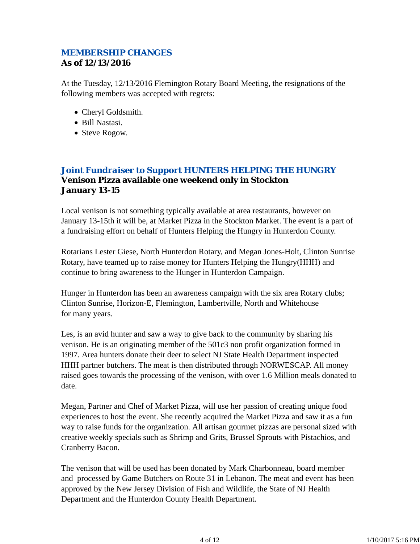## *MEMBERSHIP CHANGES* **As of 12/13/2016**

At the Tuesday, 12/13/2016 Flemington Rotary Board Meeting, the resignations of the following members was accepted with regrets:

- Cheryl Goldsmith.
- Bill Nastasi.
- Steve Rogow.

## *Joint Fundraiser to Support HUNTERS HELPING THE HUNGRY* **Venison Pizza available one weekend only in Stockton January 13-15**

Local venison is not something typically available at area restaurants, however on January 13-15th it will be, at Market Pizza in the Stockton Market. The event is a part of a fundraising effort on behalf of Hunters Helping the Hungry in Hunterdon County.

Rotarians Lester Giese, North Hunterdon Rotary, and Megan Jones-Holt, Clinton Sunrise Rotary, have teamed up to raise money for Hunters Helping the Hungry(HHH) and continue to bring awareness to the Hunger in Hunterdon Campaign.

Hunger in Hunterdon has been an awareness campaign with the six area Rotary clubs; Clinton Sunrise, Horizon-E, Flemington, Lambertville, North and Whitehouse for many years.

Les, is an avid hunter and saw a way to give back to the community by sharing his venison. He is an originating member of the 501c3 non profit organization formed in 1997. Area hunters donate their deer to select NJ State Health Department inspected HHH partner butchers. The meat is then distributed through NORWESCAP. All money raised goes towards the processing of the venison, with over 1.6 Million meals donated to date.

Megan, Partner and Chef of Market Pizza, will use her passion of creating unique food experiences to host the event. She recently acquired the Market Pizza and saw it as a fun way to raise funds for the organization. All artisan gourmet pizzas are personal sized with creative weekly specials such as Shrimp and Grits, Brussel Sprouts with Pistachios, and Cranberry Bacon.

The venison that will be used has been donated by Mark Charbonneau, board member and processed by Game Butchers on Route 31 in Lebanon. The meat and event has been approved by the New Jersey Division of Fish and Wildlife, the State of NJ Health Department and the Hunterdon County Health Department.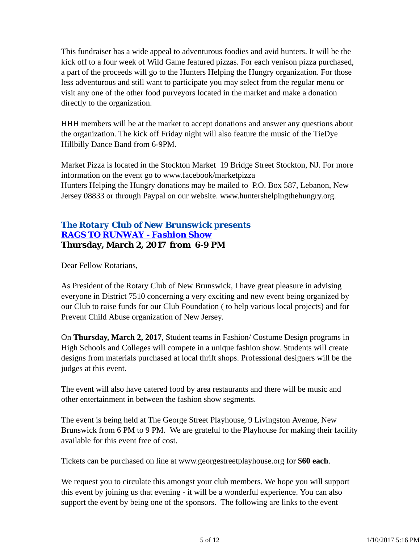This fundraiser has a wide appeal to adventurous foodies and avid hunters. It will be the kick off to a four week of Wild Game featured pizzas. For each venison pizza purchased, a part of the proceeds will go to the Hunters Helping the Hungry organization. For those less adventurous and still want to participate you may select from the regular menu or visit any one of the other food purveyors located in the market and make a donation directly to the organization.

HHH members will be at the market to accept donations and answer any questions about the organization. The kick off Friday night will also feature the music of the TieDye Hillbilly Dance Band from 6-9PM.

Market Pizza is located in the Stockton Market 19 Bridge Street Stockton, NJ. For more information on the event go to www.facebook/marketpizza Hunters Helping the Hungry donations may be mailed to P.O. Box 587, Lebanon, New Jersey 08833 or through Paypal on our website. www.huntershelpingthehungry.org.

## *The Rotary Club of New Brunswick presents RAGS TO RUNWAY - Fashion Show* **Thursday, March 2, 2017 from 6-9 PM**

Dear Fellow Rotarians,

As President of the Rotary Club of New Brunswick, I have great pleasure in advising everyone in District 7510 concerning a very exciting and new event being organized by our Club to raise funds for our Club Foundation ( to help various local projects) and for Prevent Child Abuse organization of New Jersey.

On **Thursday, March 2, 2017**, Student teams in Fashion/ Costume Design programs in High Schools and Colleges will compete in a unique fashion show. Students will create designs from materials purchased at local thrift shops. Professional designers will be the judges at this event.

The event will also have catered food by area restaurants and there will be music and other entertainment in between the fashion show segments.

The event is being held at The George Street Playhouse, 9 Livingston Avenue, New Brunswick from 6 PM to 9 PM. We are grateful to the Playhouse for making their facility available for this event free of cost.

Tickets can be purchased on line at www.georgestreetplayhouse.org for **\$60 each**.

We request you to circulate this amongst your club members. We hope you will support this event by joining us that evening - it will be a wonderful experience. You can also support the event by being one of the sponsors. The following are links to the event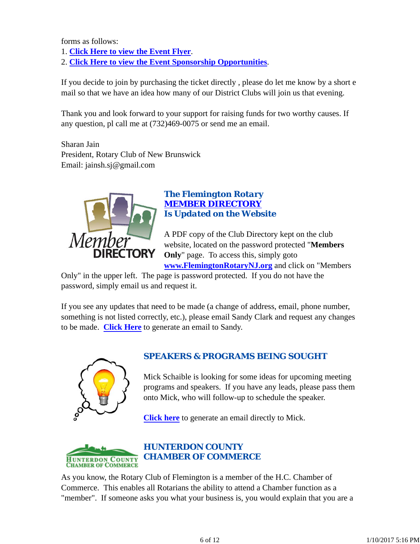forms as follows:

- 1. **Click Here to view the Event Flyer**.
- 2. **Click Here to view the Event Sponsorship Opportunities**.

If you decide to join by purchasing the ticket directly , please do let me know by a short e mail so that we have an idea how many of our District Clubs will join us that evening.

Thank you and look forward to your support for raising funds for two worthy causes. If any question, pl call me at (732)469-0075 or send me an email.

Sharan Jain President, Rotary Club of New Brunswick Email: jainsh.sj@gmail.com



## *The Flemington Rotary MEMBER DIRECTORY Is Updated on the Website*

A PDF copy of the Club Directory kept on the club website, located on the password protected "**Members Only**" page. To access this, simply goto **www.FlemingtonRotaryNJ.org** and click on "Members

Only" in the upper left. The page is password protected. If you do not have the password, simply email us and request it.

If you see any updates that need to be made (a change of address, email, phone number, something is not listed correctly, etc.), please email Sandy Clark and request any changes to be made. **Click Here** to generate an email to Sandy.



## *SPEAKERS & PROGRAMS BEING SOUGHT*

Mick Schaible is looking for some ideas for upcoming meeting programs and speakers. If you have any leads, please pass them onto Mick, who will follow-up to schedule the speaker.

**Click here** to generate an email directly to Mick.



As you know, the Rotary Club of Flemington is a member of the H.C. Chamber of Commerce. This enables all Rotarians the ability to attend a Chamber function as a "member". If someone asks you what your business is, you would explain that you are a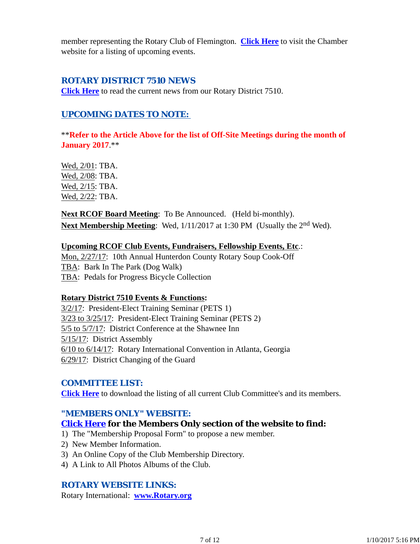member representing the Rotary Club of Flemington. **Click Here** to visit the Chamber website for a listing of upcoming events.

#### *ROTARY DISTRICT 7510 NEWS*

**Click Here** to read the current news from our Rotary District 7510.

## *UPCOMING DATES TO NOTE:*

\*\***Refer to the Article Above for the list of Off-Site Meetings during the month of January 2017**.\*\*

Wed, 2/01: TBA. Wed, 2/08: TBA. Wed, 2/15: TBA. Wed, 2/22: TBA.

**Next RCOF Board Meeting**: To Be Announced. (Held bi-monthly). **Next Membership Meeting**: Wed,  $1/11/2017$  at 1:30 PM (Usually the 2<sup>nd</sup> Wed).

#### **Upcoming RCOF Club Events, Fundraisers, Fellowship Events, Etc**.:

Mon, 2/27/17: 10th Annual Hunterdon County Rotary Soup Cook-Off TBA: Bark In The Park (Dog Walk) TBA: Pedals for Progress Bicycle Collection

#### **Rotary District 7510 Events & Functions:**

3/2/17: President-Elect Training Seminar (PETS 1) 3/23 to 3/25/17: President-Elect Training Seminar (PETS 2) 5/5 to 5/7/17: District Conference at the Shawnee Inn 5/15/17: District Assembly 6/10 to 6/14/17: Rotary International Convention in Atlanta, Georgia 6/29/17: District Changing of the Guard

#### *COMMITTEE LIST:*

**Click Here** to download the listing of all current Club Committee's and its members.

#### *"MEMBERS ONLY" WEBSITE:*

#### **Click Here for the Members Only section of the website to find:**

1) The "Membership Proposal Form" to propose a new member.

- 2) New Member Information.
- 3) An Online Copy of the Club Membership Directory.
- 4) A Link to All Photos Albums of the Club.

## *ROTARY WEBSITE LINKS:*

Rotary International: **www.Rotary.org**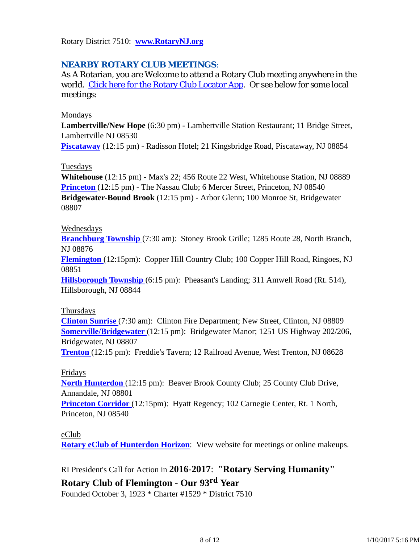Rotary District 7510: **www.RotaryNJ.org**

## *NEARBY ROTARY CLUB MEETINGS:*

As A Rotarian, you are Welcome to attend a Rotary Club meeting anywhere in the world. Click here for the Rotary Club Locator App. Or see below for some local meetings:

#### Mondays

**Lambertville/New Hope** (6:30 pm) - Lambertville Station Restaurant; 11 Bridge Street, Lambertville NJ 08530

**Piscataway** (12:15 pm) - Radisson Hotel; 21 Kingsbridge Road, Piscataway, NJ 08854

#### Tuesdays

**Whitehouse** (12:15 pm) - Max's 22; 456 Route 22 West, Whitehouse Station, NJ 08889 **Princeton** (12:15 pm) - The Nassau Club; 6 Mercer Street, Princeton, NJ 08540 **Bridgewater-Bound Brook** (12:15 pm) - Arbor Glenn; 100 Monroe St, Bridgewater 08807

#### Wednesdays

**Branchburg Township** (7:30 am): Stoney Brook Grille; 1285 Route 28, North Branch, NJ 08876

**Flemington** (12:15pm): Copper Hill Country Club; 100 Copper Hill Road, Ringoes, NJ 08851

**Hillsborough Township** (6:15 pm): Pheasant's Landing; 311 Amwell Road (Rt. 514), Hillsborough, NJ 08844

#### Thursdays

**Clinton Sunrise** (7:30 am): Clinton Fire Department; New Street, Clinton, NJ 08809 **Somerville/Bridgewater** (12:15 pm): Bridgewater Manor; 1251 US Highway 202/206, Bridgewater, NJ 08807

**Trenton** (12:15 pm): Freddie's Tavern; 12 Railroad Avenue, West Trenton, NJ 08628

#### Fridays

**North Hunterdon** (12:15 pm): Beaver Brook County Club; 25 County Club Drive, Annandale, NJ 08801

**Princeton Corridor** (12:15pm): Hyatt Regency; 102 Carnegie Center, Rt. 1 North, Princeton, NJ 08540

#### eClub

**Rotary eClub of Hunterdon Horizon**: View website for meetings or online makeups.

## RI President's Call for Action in **2016-2017**: **"Rotary Serving Humanity"**

## **Rotary Club of Flemington - Our 93rd Year**

Founded October 3, 1923 \* Charter #1529 \* District 7510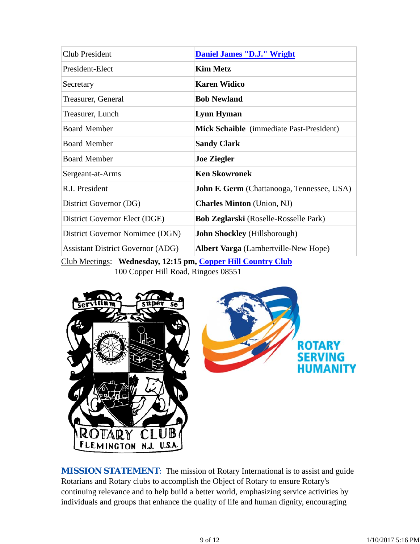| Daniel James "D.J." Wright                                                                                |
|-----------------------------------------------------------------------------------------------------------|
| <b>Kim Metz</b>                                                                                           |
| <b>Karen Widico</b>                                                                                       |
| <b>Bob Newland</b>                                                                                        |
| Lynn Hyman                                                                                                |
| Mick Schaible (immediate Past-President)                                                                  |
| <b>Sandy Clark</b>                                                                                        |
| <b>Joe Ziegler</b>                                                                                        |
| <b>Ken Skowronek</b>                                                                                      |
| <b>John F. Germ</b> (Chattanooga, Tennessee, USA)                                                         |
| <b>Charles Minton</b> (Union, NJ)                                                                         |
| <b>Bob Zeglarski</b> (Roselle-Rosselle Park)                                                              |
| <b>John Shockley</b> (Hillsborough)                                                                       |
| <b>Albert Varga</b> (Lambertville-New Hope)                                                               |
| $C_{\text{lab}}$ Meetings. Wednesday $12.15$ nm $C_{\text{coup}}$ Will $C_{\text{coup}}$ $C_{\text{lab}}$ |

Club Meetings: **Wednesday, 12:15 pm, Copper Hill Country Club** 100 Copper Hill Road, Ringoes 08551



**MISSION STATEMENT:** The mission of Rotary International is to assist and guide Rotarians and Rotary clubs to accomplish the Object of Rotary to ensure Rotary's continuing relevance and to help build a better world, emphasizing service activities by individuals and groups that enhance the quality of life and human dignity, encouraging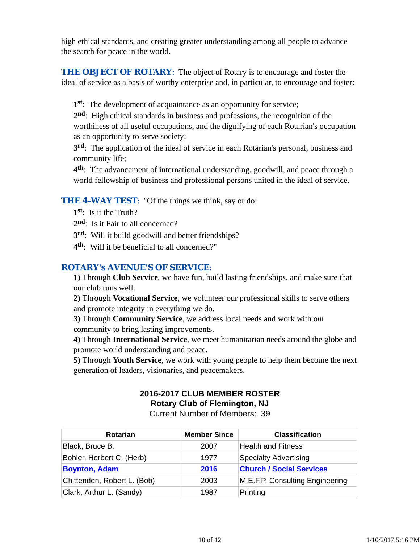high ethical standards, and creating greater understanding among all people to advance the search for peace in the world.

**THE OBJECT OF ROTARY:** The object of Rotary is to encourage and foster the ideal of service as a basis of worthy enterprise and, in particular, to encourage and foster:

**1st**: The development of acquaintance as an opportunity for service;

**2nd**: High ethical standards in business and professions, the recognition of the worthiness of all useful occupations, and the dignifying of each Rotarian's occupation as an opportunity to serve society;

**3rd**: The application of the ideal of service in each Rotarian's personal, business and community life;

**4th**: The advancement of international understanding, goodwill, and peace through a world fellowship of business and professional persons united in the ideal of service.

#### **THE 4-WAY TEST:** "Of the things we think, say or do:

- **1st**: Is it the Truth?
- 2<sup>nd</sup>: Is it Fair to all concerned?
- **3rd**: Will it build goodwill and better friendships?
- **4th**: Will it be beneficial to all concerned?"

## *ROTARY's AVENUE'S OF SERVICE*:

**1)** Through **Club Service**, we have fun, build lasting friendships, and make sure that our club runs well.

**2)** Through **Vocational Service**, we volunteer our professional skills to serve others and promote integrity in everything we do.

**3)** Through **Community Service**, we address local needs and work with our community to bring lasting improvements.

**4)** Through **International Service**, we meet humanitarian needs around the globe and promote world understanding and peace.

**5)** Through **Youth Service**, we work with young people to help them become the next generation of leaders, visionaries, and peacemakers.

# **2016-2017 CLUB MEMBER ROSTER Rotary Club of Flemington, NJ**

Current Number of Members: 39

| <b>Rotarian</b>             | <b>Member Since</b> | <b>Classification</b>           |
|-----------------------------|---------------------|---------------------------------|
| Black, Bruce B.             | 2007                | <b>Health and Fitness</b>       |
| Bohler, Herbert C. (Herb)   | 1977                | <b>Specialty Advertising</b>    |
| <b>Boynton, Adam</b>        | 2016                | <b>Church / Social Services</b> |
| Chittenden, Robert L. (Bob) | 2003                | M.E.F.P. Consulting Engineering |
| Clark, Arthur L. (Sandy)    | 1987                | Printing                        |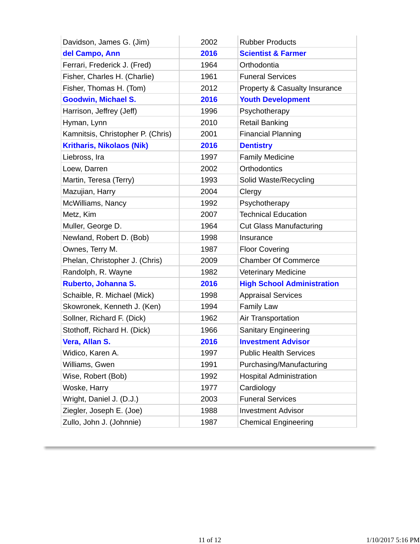| Davidson, James G. (Jim)          | 2002 | <b>Rubber Products</b>                   |
|-----------------------------------|------|------------------------------------------|
| del Campo, Ann                    | 2016 | <b>Scientist &amp; Farmer</b>            |
| Ferrari, Frederick J. (Fred)      | 1964 | Orthodontia                              |
| Fisher, Charles H. (Charlie)      | 1961 | <b>Funeral Services</b>                  |
| Fisher, Thomas H. (Tom)           | 2012 | <b>Property &amp; Casualty Insurance</b> |
| <b>Goodwin, Michael S.</b>        | 2016 | <b>Youth Development</b>                 |
| Harrison, Jeffrey (Jeff)          | 1996 | Psychotherapy                            |
| Hyman, Lynn                       | 2010 | <b>Retail Banking</b>                    |
| Kamnitsis, Christopher P. (Chris) | 2001 | <b>Financial Planning</b>                |
| <b>Kritharis, Nikolaos (Nik)</b>  | 2016 | <b>Dentistry</b>                         |
| Liebross, Ira                     | 1997 | <b>Family Medicine</b>                   |
| Loew, Darren                      | 2002 | Orthodontics                             |
| Martin, Teresa (Terry)            | 1993 | Solid Waste/Recycling                    |
| Mazujian, Harry                   | 2004 | Clergy                                   |
| McWilliams, Nancy                 | 1992 | Psychotherapy                            |
| Metz, Kim                         | 2007 | <b>Technical Education</b>               |
| Muller, George D.                 | 1964 | <b>Cut Glass Manufacturing</b>           |
| Newland, Robert D. (Bob)          | 1998 | Insurance                                |
| Ownes, Terry M.                   | 1987 | <b>Floor Covering</b>                    |
| Phelan, Christopher J. (Chris)    | 2009 | <b>Chamber Of Commerce</b>               |
| Randolph, R. Wayne                | 1982 | <b>Veterinary Medicine</b>               |
| Ruberto, Johanna S.               | 2016 | <b>High School Administration</b>        |
| Schaible, R. Michael (Mick)       | 1998 | <b>Appraisal Services</b>                |
| Skowronek, Kenneth J. (Ken)       | 1994 | <b>Family Law</b>                        |
| Sollner, Richard F. (Dick)        | 1962 | Air Transportation                       |
| Stothoff, Richard H. (Dick)       | 1966 | <b>Sanitary Engineering</b>              |
| Vera, Allan S.                    | 2016 | <b>Investment Advisor</b>                |
| Widico, Karen A.                  | 1997 | <b>Public Health Services</b>            |
| Williams, Gwen                    | 1991 | Purchasing/Manufacturing                 |
| Wise, Robert (Bob)                | 1992 | <b>Hospital Administration</b>           |
| Woske, Harry                      | 1977 | Cardiology                               |
| Wright, Daniel J. (D.J.)          | 2003 | <b>Funeral Services</b>                  |
| Ziegler, Joseph E. (Joe)          | 1988 | <b>Investment Advisor</b>                |
| Zullo, John J. (Johnnie)          | 1987 | <b>Chemical Engineering</b>              |